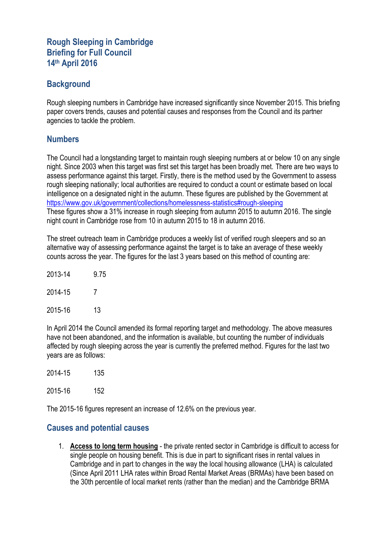## **Rough Sleeping in Cambridge Briefing for Full Council 14th April 2016**

### **Background**

Rough sleeping numbers in Cambridge have increased significantly since November 2015. This briefing paper covers trends, causes and potential causes and responses from the Council and its partner agencies to tackle the problem.

#### **Numbers**

The Council had a longstanding target to maintain rough sleeping numbers at or below 10 on any single night. Since 2003 when this target was first set this target has been broadly met. There are two ways to assess performance against this target. Firstly, there is the method used by the Government to assess rough sleeping nationally; local authorities are required to conduct a count or estimate based on local intelligence on a designated night in the autumn. These figures are published by the Government at <https://www.gov.uk/government/collections/homelessness-statistics#rough-sleeping> These figures show a 31% increase in rough sleeping from autumn 2015 to autumn 2016. The single night count in Cambridge rose from 10 in autumn 2015 to 18 in autumn 2016.

The street outreach team in Cambridge produces a weekly list of verified rough sleepers and so an alternative way of assessing performance against the target is to take an average of these weekly counts across the year. The figures for the last 3 years based on this method of counting are:

| 2013-14 | 9.75 |
|---------|------|
| 2014-15 | 7    |
| 2015-16 | 13   |

In April 2014 the Council amended its formal reporting target and methodology. The above measures have not been abandoned, and the information is available, but counting the number of individuals affected by rough sleeping across the year is currently the preferred method. Figures for the last two years are as follows:

2014-15 135

2015-16 152

The 2015-16 figures represent an increase of 12.6% on the previous year.

#### **Causes and potential causes**

1. **Access to long term housing** - the private rented sector in Cambridge is difficult to access for single people on housing benefit. This is due in part to significant rises in rental values in Cambridge and in part to changes in the way the local housing allowance (LHA) is calculated (Since April 2011 LHA rates within Broad Rental Market Areas (BRMAs) have been based on the 30th percentile of local market rents (rather than the median) and the Cambridge BRMA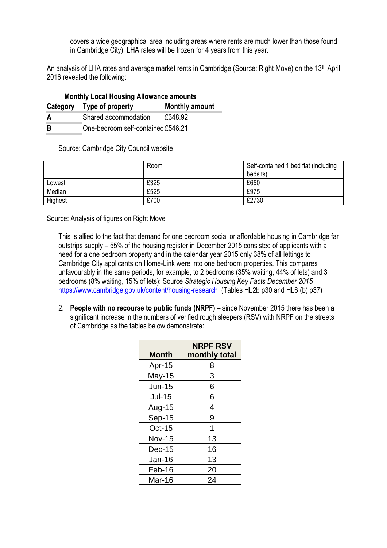covers a wide geographical area including areas where rents are much lower than those found in Cambridge City). LHA rates will be frozen for 4 years from this year.

An analysis of LHA rates and average market rents in Cambridge (Source: Right Move) on the 13<sup>th</sup> April 2016 revealed the following:

| <b>Monthly Local Housing Allowance amounts</b> |                                    |                       |  |  |
|------------------------------------------------|------------------------------------|-----------------------|--|--|
|                                                | Category Type of property          | <b>Monthly amount</b> |  |  |
| A                                              | Shared accommodation               | £348.92               |  |  |
| -R                                             | One-bedroom self-contained £546.21 |                       |  |  |

Source: Cambridge City Council website

|         | Room | Self-contained 1 bed flat (including |
|---------|------|--------------------------------------|
|         |      | bedsits)                             |
| Lowest  | £325 | £650                                 |
| Median  | £525 | £975                                 |
| Highest | £700 | £2730                                |

Source: Analysis of figures on Right Move

This is allied to the fact that demand for one bedroom social or affordable housing in Cambridge far outstrips supply – 55% of the housing register in December 2015 consisted of applicants with a need for a one bedroom property and in the calendar year 2015 only 38% of all lettings to Cambridge City applicants on Home-Link were into one bedroom properties. This compares unfavourably in the same periods, for example, to 2 bedrooms (35% waiting, 44% of lets) and 3 bedrooms (8% waiting, 15% of lets): Source *Strategic Housing Key Facts December 2015*  <https://www.cambridge.gov.uk/content/housing-research> (Tables HL2b p30 and HL6 (b) p37)

2. **People with no recourse to public funds (NRPF)** – since November 2015 there has been a significant increase in the numbers of verified rough sleepers (RSV) with NRPF on the streets of Cambridge as the tables below demonstrate:

| <b>Month</b>  | <b>NRPF RSV</b><br>monthly total |
|---------------|----------------------------------|
| Apr-15        | 8                                |
| May-15        | 3                                |
| <b>Jun-15</b> | 6                                |
| <b>Jul-15</b> | 6                                |
| Aug-15        | 4                                |
| Sep-15        | 9                                |
| Oct-15        | 1                                |
| <b>Nov-15</b> | 13                               |
| <b>Dec-15</b> | 16                               |
| $Jan-16$      | 13                               |
| Feb-16        | 20                               |
| Mar-16        | 24                               |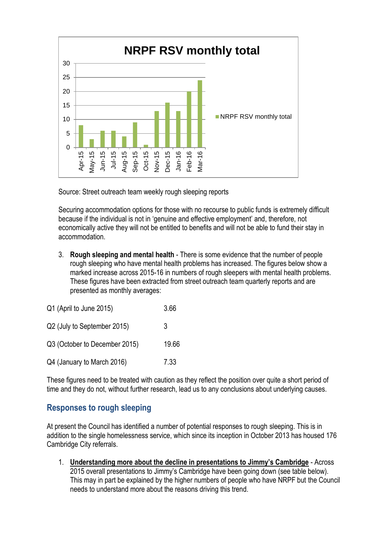

Source: Street outreach team weekly rough sleeping reports

Securing accommodation options for those with no recourse to public funds is extremely difficult because if the individual is not in 'genuine and effective employment' and, therefore, not economically active they will not be entitled to benefits and will not be able to fund their stay in accommodation.

3. **Rough sleeping and mental health** - There is some evidence that the number of people rough sleeping who have mental health problems has increased. The figures below show a marked increase across 2015-16 in numbers of rough sleepers with mental health problems. These figures have been extracted from street outreach team quarterly reports and are presented as monthly averages:

| Q1 (April to June 2015)       | 3.66  |
|-------------------------------|-------|
| Q2 (July to September 2015)   | 3     |
| Q3 (October to December 2015) | 19.66 |
| Q4 (January to March 2016)    | 7.33  |

These figures need to be treated with caution as they reflect the position over quite a short period of time and they do not, without further research, lead us to any conclusions about underlying causes.

# **Responses to rough sleeping**

At present the Council has identified a number of potential responses to rough sleeping. This is in addition to the single homelessness service, which since its inception in October 2013 has housed 176 Cambridge City referrals.

1. **Understanding more about the decline in presentations to Jimmy's Cambridge** - Across 2015 overall presentations to Jimmy's Cambridge have been going down (see table below). This may in part be explained by the higher numbers of people who have NRPF but the Council needs to understand more about the reasons driving this trend.